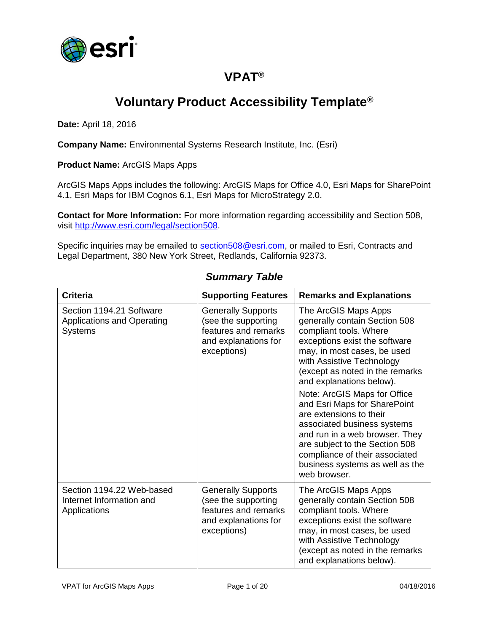

## **VPAT®**

## **Voluntary Product Accessibility Template®**

**Date:** April 18, 2016

**Company Name:** Environmental Systems Research Institute, Inc. (Esri)

**Product Name:** ArcGIS Maps Apps

ArcGIS Maps Apps includes the following: ArcGIS Maps for Office 4.0, Esri Maps for SharePoint 4.1, Esri Maps for IBM Cognos 6.1, Esri Maps for MicroStrategy 2.0.

**Contact for More Information:** For more information regarding accessibility and Section 508, visit [http://www.esri.com/legal/section508.](http://www.esri.com/legal/section508)

Specific inquiries may be emailed to [section508@esri.com,](mailto:section508@esri.com) or mailed to Esri, Contracts and Legal Department, 380 New York Street, Redlands, California 92373.

| <b>Criteria</b>                                                          | <b>Supporting Features</b>                                                                                      | <b>Remarks and Explanations</b>                                                                                                                                                                                                                                                                                                                                                                                                                                                                                                |
|--------------------------------------------------------------------------|-----------------------------------------------------------------------------------------------------------------|--------------------------------------------------------------------------------------------------------------------------------------------------------------------------------------------------------------------------------------------------------------------------------------------------------------------------------------------------------------------------------------------------------------------------------------------------------------------------------------------------------------------------------|
| Section 1194.21 Software<br>Applications and Operating<br><b>Systems</b> | <b>Generally Supports</b><br>(see the supporting<br>features and remarks<br>and explanations for<br>exceptions) | The ArcGIS Maps Apps<br>generally contain Section 508<br>compliant tools. Where<br>exceptions exist the software<br>may, in most cases, be used<br>with Assistive Technology<br>(except as noted in the remarks<br>and explanations below).<br>Note: ArcGIS Maps for Office<br>and Esri Maps for SharePoint<br>are extensions to their<br>associated business systems<br>and run in a web browser. They<br>are subject to the Section 508<br>compliance of their associated<br>business systems as well as the<br>web browser. |
| Section 1194.22 Web-based<br>Internet Information and<br>Applications    | <b>Generally Supports</b><br>(see the supporting<br>features and remarks<br>and explanations for<br>exceptions) | The ArcGIS Maps Apps<br>generally contain Section 508<br>compliant tools. Where<br>exceptions exist the software<br>may, in most cases, be used<br>with Assistive Technology<br>(except as noted in the remarks<br>and explanations below).                                                                                                                                                                                                                                                                                    |

#### *Summary Table*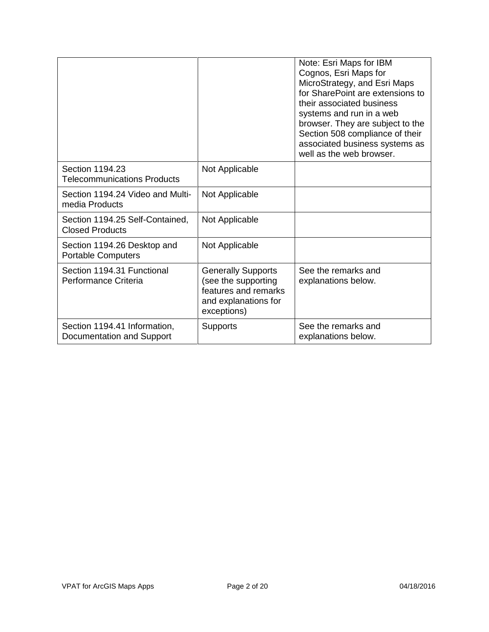|                                                           |                                                                                                                 | Note: Esri Maps for IBM<br>Cognos, Esri Maps for<br>MicroStrategy, and Esri Maps<br>for SharePoint are extensions to<br>their associated business<br>systems and run in a web<br>browser. They are subject to the<br>Section 508 compliance of their<br>associated business systems as<br>well as the web browser. |
|-----------------------------------------------------------|-----------------------------------------------------------------------------------------------------------------|--------------------------------------------------------------------------------------------------------------------------------------------------------------------------------------------------------------------------------------------------------------------------------------------------------------------|
| Section 1194.23<br><b>Telecommunications Products</b>     | Not Applicable                                                                                                  |                                                                                                                                                                                                                                                                                                                    |
| Section 1194.24 Video and Multi-<br>media Products        | Not Applicable                                                                                                  |                                                                                                                                                                                                                                                                                                                    |
| Section 1194.25 Self-Contained,<br><b>Closed Products</b> | Not Applicable                                                                                                  |                                                                                                                                                                                                                                                                                                                    |
| Section 1194.26 Desktop and<br><b>Portable Computers</b>  | Not Applicable                                                                                                  |                                                                                                                                                                                                                                                                                                                    |
| Section 1194.31 Functional<br>Performance Criteria        | <b>Generally Supports</b><br>(see the supporting<br>features and remarks<br>and explanations for<br>exceptions) | See the remarks and<br>explanations below.                                                                                                                                                                                                                                                                         |
| Section 1194.41 Information,<br>Documentation and Support | <b>Supports</b>                                                                                                 | See the remarks and<br>explanations below.                                                                                                                                                                                                                                                                         |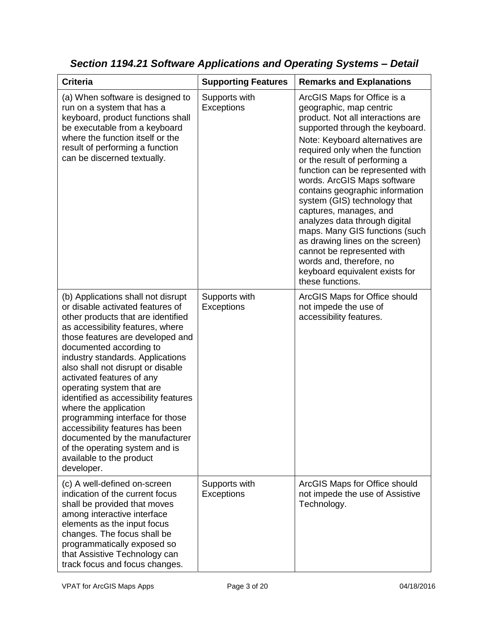| <b>Criteria</b>                                                                                                                                                                                                                                                                                                                                                                                                                                                                                                                                                                                         | <b>Supporting Features</b>  | <b>Remarks and Explanations</b>                                                                                                                                                                                                                                                                                                                                                                                                                                                                                                                                                                                             |
|---------------------------------------------------------------------------------------------------------------------------------------------------------------------------------------------------------------------------------------------------------------------------------------------------------------------------------------------------------------------------------------------------------------------------------------------------------------------------------------------------------------------------------------------------------------------------------------------------------|-----------------------------|-----------------------------------------------------------------------------------------------------------------------------------------------------------------------------------------------------------------------------------------------------------------------------------------------------------------------------------------------------------------------------------------------------------------------------------------------------------------------------------------------------------------------------------------------------------------------------------------------------------------------------|
| (a) When software is designed to<br>run on a system that has a<br>keyboard, product functions shall<br>be executable from a keyboard<br>where the function itself or the<br>result of performing a function<br>can be discerned textually.                                                                                                                                                                                                                                                                                                                                                              | Supports with<br>Exceptions | ArcGIS Maps for Office is a<br>geographic, map centric<br>product. Not all interactions are<br>supported through the keyboard.<br>Note: Keyboard alternatives are<br>required only when the function<br>or the result of performing a<br>function can be represented with<br>words. ArcGIS Maps software<br>contains geographic information<br>system (GIS) technology that<br>captures, manages, and<br>analyzes data through digital<br>maps. Many GIS functions (such<br>as drawing lines on the screen)<br>cannot be represented with<br>words and, therefore, no<br>keyboard equivalent exists for<br>these functions. |
| (b) Applications shall not disrupt<br>or disable activated features of<br>other products that are identified<br>as accessibility features, where<br>those features are developed and<br>documented according to<br>industry standards. Applications<br>also shall not disrupt or disable<br>activated features of any<br>operating system that are<br>identified as accessibility features<br>where the application<br>programming interface for those<br>accessibility features has been<br>documented by the manufacturer<br>of the operating system and is<br>available to the product<br>developer. | Supports with<br>Exceptions | ArcGIS Maps for Office should<br>not impede the use of<br>accessibility features.                                                                                                                                                                                                                                                                                                                                                                                                                                                                                                                                           |
| (c) A well-defined on-screen<br>indication of the current focus<br>shall be provided that moves<br>among interactive interface<br>elements as the input focus<br>changes. The focus shall be<br>programmatically exposed so<br>that Assistive Technology can<br>track focus and focus changes.                                                                                                                                                                                                                                                                                                          | Supports with<br>Exceptions | ArcGIS Maps for Office should<br>not impede the use of Assistive<br>Technology.                                                                                                                                                                                                                                                                                                                                                                                                                                                                                                                                             |

*Section 1194.21 Software Applications and Operating Systems – Detail*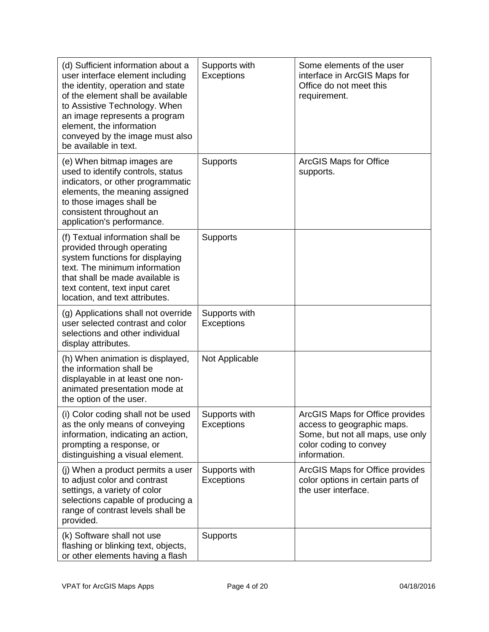| (d) Sufficient information about a<br>user interface element including<br>the identity, operation and state<br>of the element shall be available<br>to Assistive Technology. When<br>an image represents a program<br>element, the information<br>conveyed by the image must also<br>be available in text. | Supports with<br>Exceptions        | Some elements of the user<br>interface in ArcGIS Maps for<br>Office do not meet this<br>requirement.                                        |
|------------------------------------------------------------------------------------------------------------------------------------------------------------------------------------------------------------------------------------------------------------------------------------------------------------|------------------------------------|---------------------------------------------------------------------------------------------------------------------------------------------|
| (e) When bitmap images are<br>used to identify controls, status<br>indicators, or other programmatic<br>elements, the meaning assigned<br>to those images shall be<br>consistent throughout an<br>application's performance.                                                                               | <b>Supports</b>                    | <b>ArcGIS Maps for Office</b><br>supports.                                                                                                  |
| (f) Textual information shall be<br>provided through operating<br>system functions for displaying<br>text. The minimum information<br>that shall be made available is<br>text content, text input caret<br>location, and text attributes.                                                                  | Supports                           |                                                                                                                                             |
| (g) Applications shall not override<br>user selected contrast and color<br>selections and other individual<br>display attributes.                                                                                                                                                                          | Supports with<br><b>Exceptions</b> |                                                                                                                                             |
| (h) When animation is displayed,<br>the information shall be<br>displayable in at least one non-<br>animated presentation mode at<br>the option of the user.                                                                                                                                               | Not Applicable                     |                                                                                                                                             |
| (i) Color coding shall not be used<br>as the only means of conveying<br>information, indicating an action,<br>prompting a response, or<br>distinguishing a visual element.                                                                                                                                 | Supports with<br><b>Exceptions</b> | ArcGIS Maps for Office provides<br>access to geographic maps.<br>Some, but not all maps, use only<br>color coding to convey<br>information. |
| (j) When a product permits a user<br>to adjust color and contrast<br>settings, a variety of color<br>selections capable of producing a<br>range of contrast levels shall be<br>provided.                                                                                                                   | Supports with<br>Exceptions        | ArcGIS Maps for Office provides<br>color options in certain parts of<br>the user interface.                                                 |
| (k) Software shall not use<br>flashing or blinking text, objects,<br>or other elements having a flash                                                                                                                                                                                                      | <b>Supports</b>                    |                                                                                                                                             |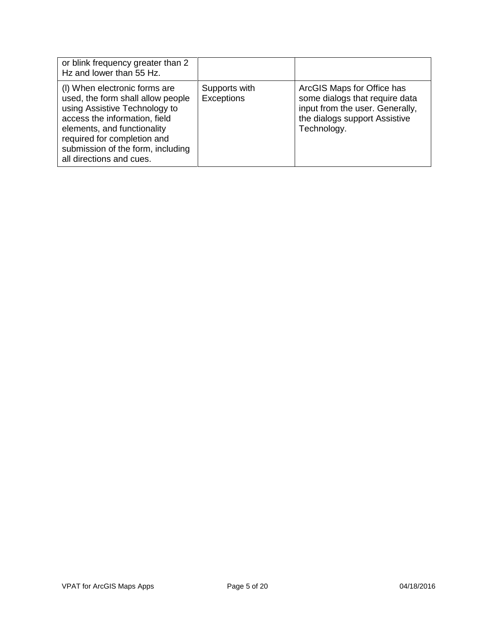| or blink frequency greater than 2<br>Hz and lower than 55 Hz.                                                                                                                                                                                                       |                                    |                                                                                                                                                 |
|---------------------------------------------------------------------------------------------------------------------------------------------------------------------------------------------------------------------------------------------------------------------|------------------------------------|-------------------------------------------------------------------------------------------------------------------------------------------------|
| (I) When electronic forms are<br>used, the form shall allow people<br>using Assistive Technology to<br>access the information, field<br>elements, and functionality<br>required for completion and<br>submission of the form, including<br>all directions and cues. | Supports with<br><b>Exceptions</b> | ArcGIS Maps for Office has<br>some dialogs that require data<br>input from the user. Generally,<br>the dialogs support Assistive<br>Technology. |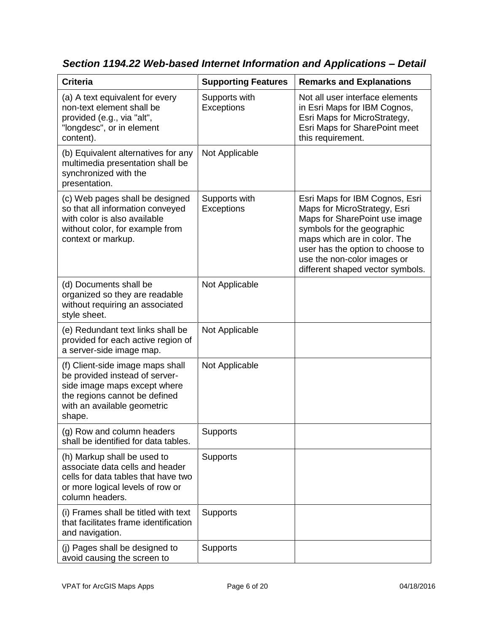| <b>Criteria</b>                                                                                                                                                              | <b>Supporting Features</b>         | <b>Remarks and Explanations</b>                                                                                                                                                                                                                                      |
|------------------------------------------------------------------------------------------------------------------------------------------------------------------------------|------------------------------------|----------------------------------------------------------------------------------------------------------------------------------------------------------------------------------------------------------------------------------------------------------------------|
| (a) A text equivalent for every<br>non-text element shall be<br>provided (e.g., via "alt",<br>"longdesc", or in element<br>content).                                         | Supports with<br>Exceptions        | Not all user interface elements<br>in Esri Maps for IBM Cognos,<br>Esri Maps for MicroStrategy,<br>Esri Maps for SharePoint meet<br>this requirement.                                                                                                                |
| (b) Equivalent alternatives for any<br>multimedia presentation shall be<br>synchronized with the<br>presentation.                                                            | Not Applicable                     |                                                                                                                                                                                                                                                                      |
| (c) Web pages shall be designed<br>so that all information conveyed<br>with color is also available<br>without color, for example from<br>context or markup.                 | Supports with<br><b>Exceptions</b> | Esri Maps for IBM Cognos, Esri<br>Maps for MicroStrategy, Esri<br>Maps for SharePoint use image<br>symbols for the geographic<br>maps which are in color. The<br>user has the option to choose to<br>use the non-color images or<br>different shaped vector symbols. |
| (d) Documents shall be<br>organized so they are readable<br>without requiring an associated<br>style sheet.                                                                  | Not Applicable                     |                                                                                                                                                                                                                                                                      |
| (e) Redundant text links shall be<br>provided for each active region of<br>a server-side image map.                                                                          | Not Applicable                     |                                                                                                                                                                                                                                                                      |
| (f) Client-side image maps shall<br>be provided instead of server-<br>side image maps except where<br>the regions cannot be defined<br>with an available geometric<br>shape. | Not Applicable                     |                                                                                                                                                                                                                                                                      |
| (g) Row and column headers<br>shall be identified for data tables.                                                                                                           | Supports                           |                                                                                                                                                                                                                                                                      |
| (h) Markup shall be used to<br>associate data cells and header<br>cells for data tables that have two<br>or more logical levels of row or<br>column headers.                 | <b>Supports</b>                    |                                                                                                                                                                                                                                                                      |
| (i) Frames shall be titled with text<br>that facilitates frame identification<br>and navigation.                                                                             | <b>Supports</b>                    |                                                                                                                                                                                                                                                                      |
| (j) Pages shall be designed to<br>avoid causing the screen to                                                                                                                | Supports                           |                                                                                                                                                                                                                                                                      |

*Section 1194.22 Web-based Internet Information and Applications – Detail*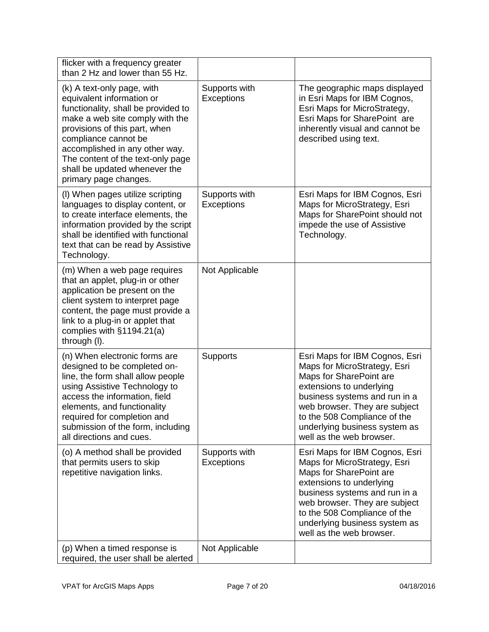| flicker with a frequency greater<br>than 2 Hz and lower than 55 Hz.                                                                                                                                                                                                                                                         |                                    |                                                                                                                                                                                                                                                                                      |
|-----------------------------------------------------------------------------------------------------------------------------------------------------------------------------------------------------------------------------------------------------------------------------------------------------------------------------|------------------------------------|--------------------------------------------------------------------------------------------------------------------------------------------------------------------------------------------------------------------------------------------------------------------------------------|
| (k) A text-only page, with<br>equivalent information or<br>functionality, shall be provided to<br>make a web site comply with the<br>provisions of this part, when<br>compliance cannot be<br>accomplished in any other way.<br>The content of the text-only page<br>shall be updated whenever the<br>primary page changes. | Supports with<br>Exceptions        | The geographic maps displayed<br>in Esri Maps for IBM Cognos,<br>Esri Maps for MicroStrategy,<br>Esri Maps for SharePoint are<br>inherently visual and cannot be<br>described using text.                                                                                            |
| (I) When pages utilize scripting<br>languages to display content, or<br>to create interface elements, the<br>information provided by the script<br>shall be identified with functional<br>text that can be read by Assistive<br>Technology.                                                                                 | Supports with<br>Exceptions        | Esri Maps for IBM Cognos, Esri<br>Maps for MicroStrategy, Esri<br>Maps for SharePoint should not<br>impede the use of Assistive<br>Technology.                                                                                                                                       |
| (m) When a web page requires<br>that an applet, plug-in or other<br>application be present on the<br>client system to interpret page<br>content, the page must provide a<br>link to a plug-in or applet that<br>complies with §1194.21(a)<br>through (I).                                                                   | Not Applicable                     |                                                                                                                                                                                                                                                                                      |
| (n) When electronic forms are<br>designed to be completed on-<br>line, the form shall allow people<br>using Assistive Technology to<br>access the information, field<br>elements, and functionality<br>required for completion and<br>submission of the form, including<br>all directions and cues.                         | <b>Supports</b>                    | Esri Maps for IBM Cognos, Esri<br>Maps for MicroStrategy, Esri<br>Maps for SharePoint are<br>extensions to underlying<br>business systems and run in a<br>web browser. They are subject<br>to the 508 Compliance of the<br>underlying business system as<br>well as the web browser. |
| (o) A method shall be provided<br>that permits users to skip<br>repetitive navigation links.                                                                                                                                                                                                                                | Supports with<br><b>Exceptions</b> | Esri Maps for IBM Cognos, Esri<br>Maps for MicroStrategy, Esri<br>Maps for SharePoint are<br>extensions to underlying<br>business systems and run in a<br>web browser. They are subject<br>to the 508 Compliance of the<br>underlying business system as<br>well as the web browser. |
| (p) When a timed response is<br>required, the user shall be alerted                                                                                                                                                                                                                                                         | Not Applicable                     |                                                                                                                                                                                                                                                                                      |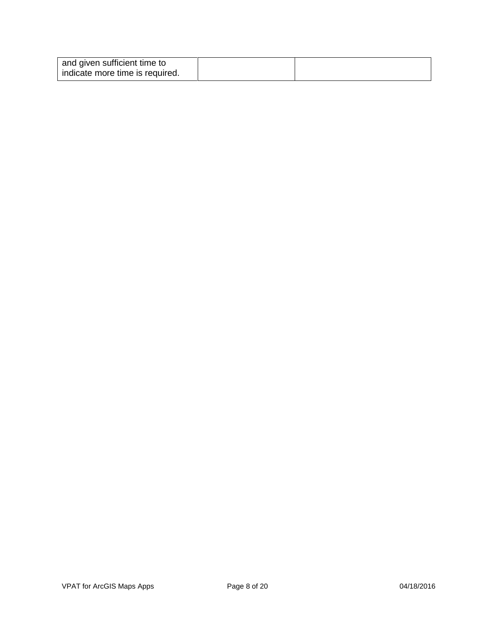| and given sufficient time to    |  |
|---------------------------------|--|
| indicate more time is required. |  |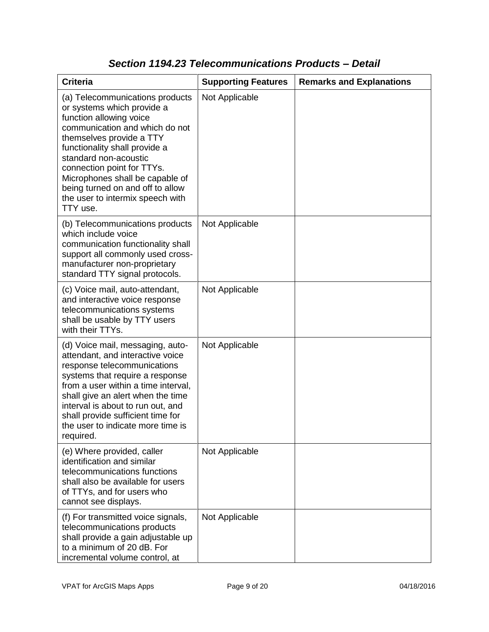| <b>Criteria</b>                                                                                                                                                                                                                                                                                                                                                       | <b>Supporting Features</b> | <b>Remarks and Explanations</b> |
|-----------------------------------------------------------------------------------------------------------------------------------------------------------------------------------------------------------------------------------------------------------------------------------------------------------------------------------------------------------------------|----------------------------|---------------------------------|
| (a) Telecommunications products<br>or systems which provide a<br>function allowing voice<br>communication and which do not<br>themselves provide a TTY<br>functionality shall provide a<br>standard non-acoustic<br>connection point for TTYs.<br>Microphones shall be capable of<br>being turned on and off to allow<br>the user to intermix speech with<br>TTY use. | Not Applicable             |                                 |
| (b) Telecommunications products<br>which include voice<br>communication functionality shall<br>support all commonly used cross-<br>manufacturer non-proprietary<br>standard TTY signal protocols.                                                                                                                                                                     | Not Applicable             |                                 |
| (c) Voice mail, auto-attendant,<br>and interactive voice response<br>telecommunications systems<br>shall be usable by TTY users<br>with their TTYs.                                                                                                                                                                                                                   | Not Applicable             |                                 |
| (d) Voice mail, messaging, auto-<br>attendant, and interactive voice<br>response telecommunications<br>systems that require a response<br>from a user within a time interval,<br>shall give an alert when the time<br>interval is about to run out, and<br>shall provide sufficient time for<br>the user to indicate more time is<br>required.                        | Not Applicable             |                                 |
| (e) Where provided, caller<br>identification and similar<br>telecommunications functions<br>shall also be available for users<br>of TTYs, and for users who<br>cannot see displays.                                                                                                                                                                                   | Not Applicable             |                                 |
| (f) For transmitted voice signals,<br>telecommunications products<br>shall provide a gain adjustable up<br>to a minimum of 20 dB. For<br>incremental volume control, at                                                                                                                                                                                               | Not Applicable             |                                 |

### *Section 1194.23 Telecommunications Products – Detail*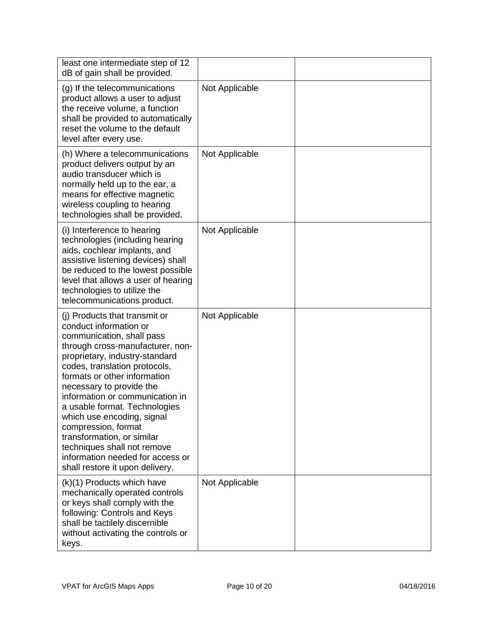| least one intermediate step of 12<br>dB of gain shall be provided.                                                                                                                                                                                                                                                                                                                                                                                                                                                   |                |  |
|----------------------------------------------------------------------------------------------------------------------------------------------------------------------------------------------------------------------------------------------------------------------------------------------------------------------------------------------------------------------------------------------------------------------------------------------------------------------------------------------------------------------|----------------|--|
| (g) If the telecommunications<br>product allows a user to adjust<br>the receive volume, a function<br>shall be provided to automatically<br>reset the volume to the default<br>level after every use.                                                                                                                                                                                                                                                                                                                | Not Applicable |  |
| (h) Where a telecommunications<br>product delivers output by an<br>audio transducer which is<br>normally held up to the ear, a<br>means for effective magnetic<br>wireless coupling to hearing<br>technologies shall be provided.                                                                                                                                                                                                                                                                                    | Not Applicable |  |
| (i) Interference to hearing<br>technologies (including hearing<br>aids, cochlear implants, and<br>assistive listening devices) shall<br>be reduced to the lowest possible<br>level that allows a user of hearing<br>technologies to utilize the<br>telecommunications product.                                                                                                                                                                                                                                       | Not Applicable |  |
| (i) Products that transmit or<br>conduct information or<br>communication, shall pass<br>through cross-manufacturer, non-<br>proprietary, industry-standard<br>codes, translation protocols,<br>formats or other information<br>necessary to provide the<br>information or communication in<br>a usable format. Technologies<br>which use encoding, signal<br>compression, format<br>transformation, or similar<br>techniques shall not remove<br>information needed for access or<br>shall restore it upon delivery. | Not Applicable |  |
| (k)(1) Products which have<br>mechanically operated controls<br>or keys shall comply with the<br>following: Controls and Keys<br>shall be tactilely discernible<br>without activating the controls or<br>keys.                                                                                                                                                                                                                                                                                                       | Not Applicable |  |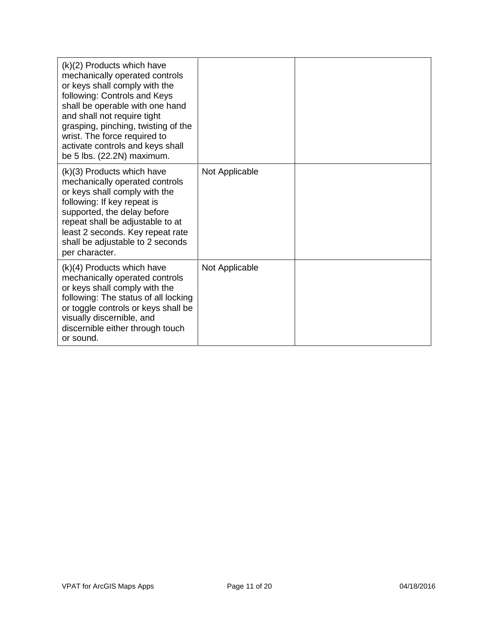| (k)(2) Products which have<br>mechanically operated controls<br>or keys shall comply with the<br>following: Controls and Keys<br>shall be operable with one hand<br>and shall not require tight<br>grasping, pinching, twisting of the<br>wrist. The force required to<br>activate controls and keys shall<br>be 5 lbs. (22.2N) maximum. |                |  |
|------------------------------------------------------------------------------------------------------------------------------------------------------------------------------------------------------------------------------------------------------------------------------------------------------------------------------------------|----------------|--|
| (k)(3) Products which have<br>mechanically operated controls<br>or keys shall comply with the<br>following: If key repeat is<br>supported, the delay before<br>repeat shall be adjustable to at<br>least 2 seconds. Key repeat rate<br>shall be adjustable to 2 seconds<br>per character.                                                | Not Applicable |  |
| $(k)(4)$ Products which have<br>mechanically operated controls<br>or keys shall comply with the<br>following: The status of all locking<br>or toggle controls or keys shall be<br>visually discernible, and<br>discernible either through touch<br>or sound.                                                                             | Not Applicable |  |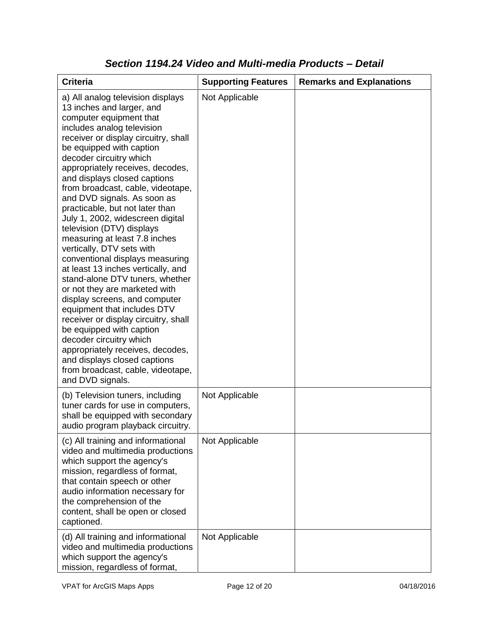| <b>Criteria</b>                                                                                                                                                                                                                                                                                                                                                                                                                                                                                                                                                                                                                                                                                                                                                                                                                                                                                                                                                           | <b>Supporting Features</b> | <b>Remarks and Explanations</b> |
|---------------------------------------------------------------------------------------------------------------------------------------------------------------------------------------------------------------------------------------------------------------------------------------------------------------------------------------------------------------------------------------------------------------------------------------------------------------------------------------------------------------------------------------------------------------------------------------------------------------------------------------------------------------------------------------------------------------------------------------------------------------------------------------------------------------------------------------------------------------------------------------------------------------------------------------------------------------------------|----------------------------|---------------------------------|
| a) All analog television displays<br>13 inches and larger, and<br>computer equipment that<br>includes analog television<br>receiver or display circuitry, shall<br>be equipped with caption<br>decoder circuitry which<br>appropriately receives, decodes,<br>and displays closed captions<br>from broadcast, cable, videotape,<br>and DVD signals. As soon as<br>practicable, but not later than<br>July 1, 2002, widescreen digital<br>television (DTV) displays<br>measuring at least 7.8 inches<br>vertically, DTV sets with<br>conventional displays measuring<br>at least 13 inches vertically, and<br>stand-alone DTV tuners, whether<br>or not they are marketed with<br>display screens, and computer<br>equipment that includes DTV<br>receiver or display circuitry, shall<br>be equipped with caption<br>decoder circuitry which<br>appropriately receives, decodes,<br>and displays closed captions<br>from broadcast, cable, videotape,<br>and DVD signals. | Not Applicable             |                                 |
| (b) Television tuners, including<br>tuner cards for use in computers,<br>shall be equipped with secondary<br>audio program playback circuitry.                                                                                                                                                                                                                                                                                                                                                                                                                                                                                                                                                                                                                                                                                                                                                                                                                            | Not Applicable             |                                 |
| (c) All training and informational<br>video and multimedia productions<br>which support the agency's<br>mission, regardless of format,<br>that contain speech or other<br>audio information necessary for<br>the comprehension of the<br>content, shall be open or closed<br>captioned.                                                                                                                                                                                                                                                                                                                                                                                                                                                                                                                                                                                                                                                                                   | Not Applicable             |                                 |
| (d) All training and informational<br>video and multimedia productions<br>which support the agency's<br>mission, regardless of format,                                                                                                                                                                                                                                                                                                                                                                                                                                                                                                                                                                                                                                                                                                                                                                                                                                    | Not Applicable             |                                 |

#### *Section 1194.24 Video and Multi-media Products – Detail*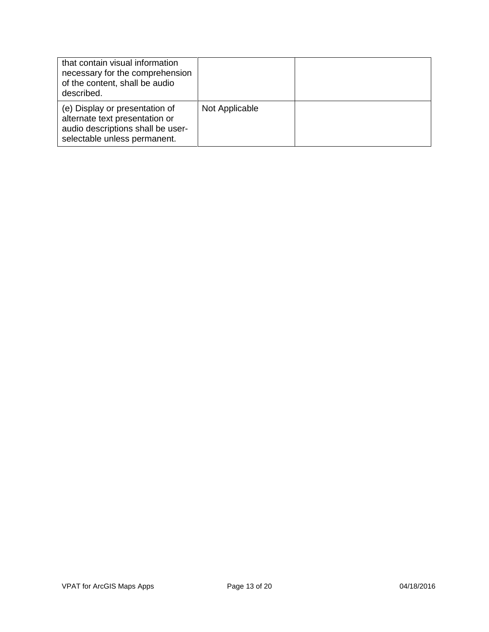| that contain visual information<br>necessary for the comprehension<br>of the content, shall be audio<br>described.                    |                |  |
|---------------------------------------------------------------------------------------------------------------------------------------|----------------|--|
| (e) Display or presentation of<br>alternate text presentation or<br>audio descriptions shall be user-<br>selectable unless permanent. | Not Applicable |  |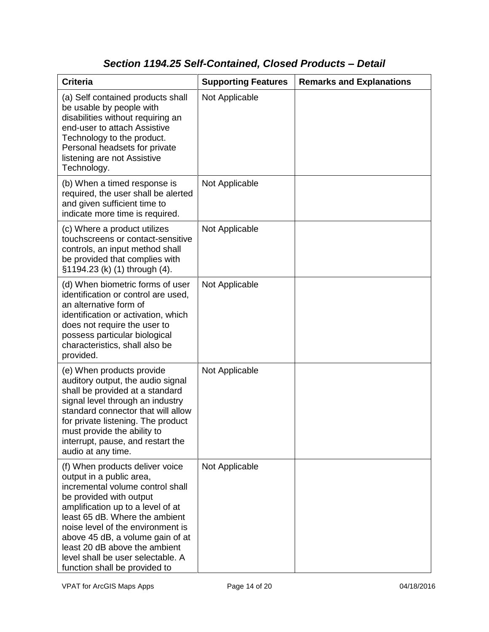### *Section 1194.25 Self-Contained, Closed Products – Detail*

| <b>Criteria</b>                                                                                                                                                                                                                                                                                                                                                                   | <b>Supporting Features</b> | <b>Remarks and Explanations</b> |
|-----------------------------------------------------------------------------------------------------------------------------------------------------------------------------------------------------------------------------------------------------------------------------------------------------------------------------------------------------------------------------------|----------------------------|---------------------------------|
| (a) Self contained products shall<br>be usable by people with<br>disabilities without requiring an<br>end-user to attach Assistive<br>Technology to the product.<br>Personal headsets for private<br>listening are not Assistive<br>Technology.                                                                                                                                   | Not Applicable             |                                 |
| (b) When a timed response is<br>required, the user shall be alerted<br>and given sufficient time to<br>indicate more time is required.                                                                                                                                                                                                                                            | Not Applicable             |                                 |
| (c) Where a product utilizes<br>touchscreens or contact-sensitive<br>controls, an input method shall<br>be provided that complies with<br>§1194.23 (k) (1) through (4).                                                                                                                                                                                                           | Not Applicable             |                                 |
| (d) When biometric forms of user<br>identification or control are used,<br>an alternative form of<br>identification or activation, which<br>does not require the user to<br>possess particular biological<br>characteristics, shall also be<br>provided.                                                                                                                          | Not Applicable             |                                 |
| (e) When products provide<br>auditory output, the audio signal<br>shall be provided at a standard<br>signal level through an industry<br>standard connector that will allow<br>for private listening. The product<br>must provide the ability to<br>interrupt, pause, and restart the<br>audio at any time.                                                                       | Not Applicable             |                                 |
| (f) When products deliver voice<br>output in a public area,<br>incremental volume control shall<br>be provided with output<br>amplification up to a level of at<br>least 65 dB. Where the ambient<br>noise level of the environment is<br>above 45 dB, a volume gain of at<br>least 20 dB above the ambient<br>level shall be user selectable. A<br>function shall be provided to | Not Applicable             |                                 |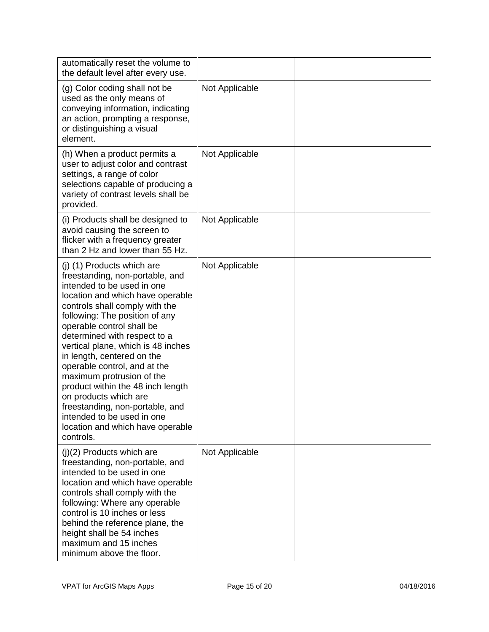| automatically reset the volume to<br>the default level after every use.                                                                                                                                                                                                                                                                                                                                                                                                                                                                                                           |                |  |
|-----------------------------------------------------------------------------------------------------------------------------------------------------------------------------------------------------------------------------------------------------------------------------------------------------------------------------------------------------------------------------------------------------------------------------------------------------------------------------------------------------------------------------------------------------------------------------------|----------------|--|
| (g) Color coding shall not be<br>used as the only means of<br>conveying information, indicating<br>an action, prompting a response,<br>or distinguishing a visual<br>element.                                                                                                                                                                                                                                                                                                                                                                                                     | Not Applicable |  |
| (h) When a product permits a<br>user to adjust color and contrast<br>settings, a range of color<br>selections capable of producing a<br>variety of contrast levels shall be<br>provided.                                                                                                                                                                                                                                                                                                                                                                                          | Not Applicable |  |
| (i) Products shall be designed to<br>avoid causing the screen to<br>flicker with a frequency greater<br>than 2 Hz and lower than 55 Hz.                                                                                                                                                                                                                                                                                                                                                                                                                                           | Not Applicable |  |
| (j) (1) Products which are<br>freestanding, non-portable, and<br>intended to be used in one<br>location and which have operable<br>controls shall comply with the<br>following: The position of any<br>operable control shall be<br>determined with respect to a<br>vertical plane, which is 48 inches<br>in length, centered on the<br>operable control, and at the<br>maximum protrusion of the<br>product within the 48 inch length<br>on products which are<br>freestanding, non-portable, and<br>intended to be used in one<br>location and which have operable<br>controls. | Not Applicable |  |
| $(j)(2)$ Products which are<br>freestanding, non-portable, and<br>intended to be used in one<br>location and which have operable<br>controls shall comply with the<br>following: Where any operable<br>control is 10 inches or less<br>behind the reference plane, the<br>height shall be 54 inches<br>maximum and 15 inches<br>minimum above the floor.                                                                                                                                                                                                                          | Not Applicable |  |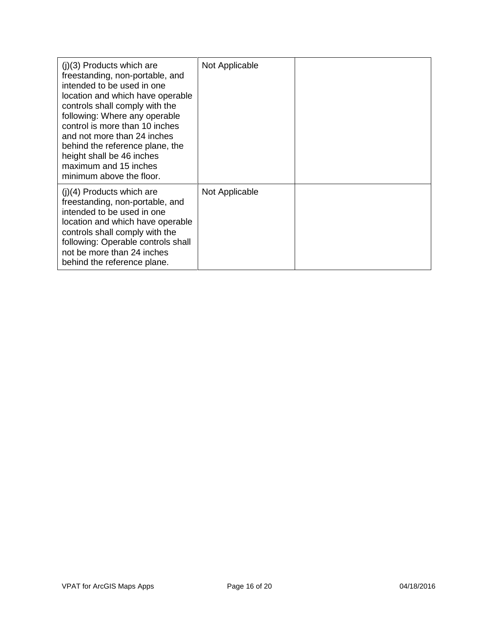| $(i)(3)$ Products which are<br>freestanding, non-portable, and<br>intended to be used in one<br>location and which have operable<br>controls shall comply with the<br>following: Where any operable<br>control is more than 10 inches<br>and not more than 24 inches<br>behind the reference plane, the<br>height shall be 46 inches<br>maximum and 15 inches<br>minimum above the floor. | Not Applicable |  |
|-------------------------------------------------------------------------------------------------------------------------------------------------------------------------------------------------------------------------------------------------------------------------------------------------------------------------------------------------------------------------------------------|----------------|--|
| $(i)(4)$ Products which are<br>freestanding, non-portable, and<br>intended to be used in one<br>location and which have operable<br>controls shall comply with the<br>following: Operable controls shall<br>not be more than 24 inches<br>behind the reference plane.                                                                                                                     | Not Applicable |  |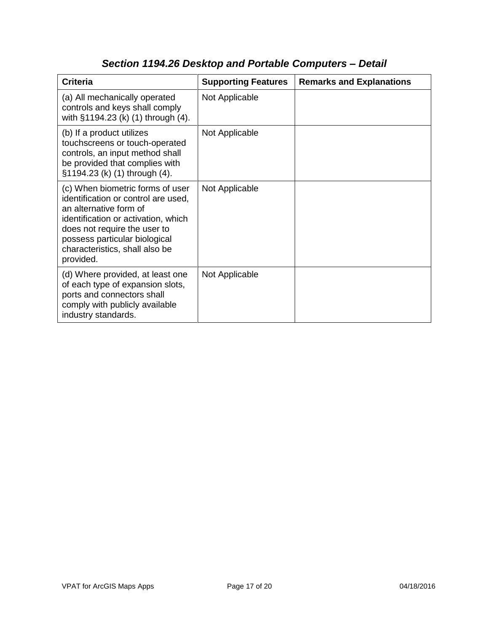| <b>Criteria</b>                                                                                                                                                                                                                                          | <b>Supporting Features</b> | <b>Remarks and Explanations</b> |
|----------------------------------------------------------------------------------------------------------------------------------------------------------------------------------------------------------------------------------------------------------|----------------------------|---------------------------------|
| (a) All mechanically operated<br>controls and keys shall comply<br>with §1194.23 (k) (1) through (4).                                                                                                                                                    | Not Applicable             |                                 |
| (b) If a product utilizes<br>touchscreens or touch-operated<br>controls, an input method shall<br>be provided that complies with<br>§1194.23 (k) (1) through (4).                                                                                        | Not Applicable             |                                 |
| (c) When biometric forms of user<br>identification or control are used,<br>an alternative form of<br>identification or activation, which<br>does not require the user to<br>possess particular biological<br>characteristics, shall also be<br>provided. | Not Applicable             |                                 |
| (d) Where provided, at least one<br>of each type of expansion slots,<br>ports and connectors shall<br>comply with publicly available<br>industry standards.                                                                                              | Not Applicable             |                                 |

# *Section 1194.26 Desktop and Portable Computers – Detail*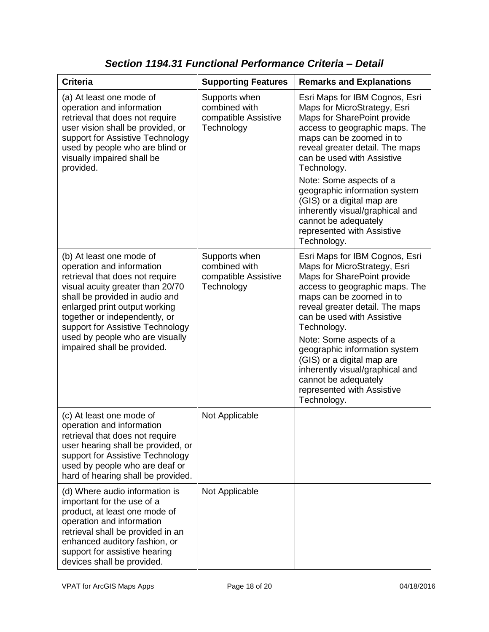| <b>Criteria</b>                                                                                                                                                                                                                                                                                                                        | <b>Supporting Features</b>                                           | <b>Remarks and Explanations</b>                                                                                                                                                                                                                                                                                                                                                                                                               |
|----------------------------------------------------------------------------------------------------------------------------------------------------------------------------------------------------------------------------------------------------------------------------------------------------------------------------------------|----------------------------------------------------------------------|-----------------------------------------------------------------------------------------------------------------------------------------------------------------------------------------------------------------------------------------------------------------------------------------------------------------------------------------------------------------------------------------------------------------------------------------------|
| (a) At least one mode of<br>operation and information<br>retrieval that does not require<br>user vision shall be provided, or<br>support for Assistive Technology<br>used by people who are blind or<br>visually impaired shall be<br>provided.                                                                                        | Supports when<br>combined with<br>compatible Assistive<br>Technology | Esri Maps for IBM Cognos, Esri<br>Maps for MicroStrategy, Esri<br>Maps for SharePoint provide<br>access to geographic maps. The<br>maps can be zoomed in to<br>reveal greater detail. The maps<br>can be used with Assistive<br>Technology.<br>Note: Some aspects of a<br>geographic information system<br>(GIS) or a digital map are<br>inherently visual/graphical and<br>cannot be adequately<br>represented with Assistive<br>Technology. |
| (b) At least one mode of<br>operation and information<br>retrieval that does not require<br>visual acuity greater than 20/70<br>shall be provided in audio and<br>enlarged print output working<br>together or independently, or<br>support for Assistive Technology<br>used by people who are visually<br>impaired shall be provided. | Supports when<br>combined with<br>compatible Assistive<br>Technology | Esri Maps for IBM Cognos, Esri<br>Maps for MicroStrategy, Esri<br>Maps for SharePoint provide<br>access to geographic maps. The<br>maps can be zoomed in to<br>reveal greater detail. The maps<br>can be used with Assistive<br>Technology.<br>Note: Some aspects of a<br>geographic information system<br>(GIS) or a digital map are<br>inherently visual/graphical and<br>cannot be adequately<br>represented with Assistive<br>Technology. |
| (c) At least one mode of<br>operation and information<br>retrieval that does not require<br>user hearing shall be provided, or<br>support for Assistive Technology<br>used by people who are deaf or<br>hard of hearing shall be provided.                                                                                             | Not Applicable                                                       |                                                                                                                                                                                                                                                                                                                                                                                                                                               |
| (d) Where audio information is<br>important for the use of a<br>product, at least one mode of<br>operation and information<br>retrieval shall be provided in an<br>enhanced auditory fashion, or<br>support for assistive hearing<br>devices shall be provided.                                                                        | Not Applicable                                                       |                                                                                                                                                                                                                                                                                                                                                                                                                                               |

*Section 1194.31 Functional Performance Criteria – Detail*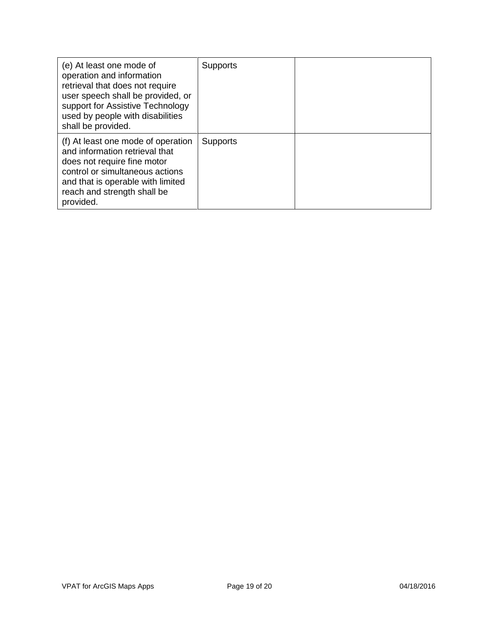| (e) At least one mode of<br>operation and information<br>retrieval that does not require<br>user speech shall be provided, or<br>support for Assistive Technology<br>used by people with disabilities<br>shall be provided. | Supports        |  |
|-----------------------------------------------------------------------------------------------------------------------------------------------------------------------------------------------------------------------------|-----------------|--|
| (f) At least one mode of operation<br>and information retrieval that<br>does not require fine motor<br>control or simultaneous actions<br>and that is operable with limited<br>reach and strength shall be<br>provided.     | <b>Supports</b> |  |